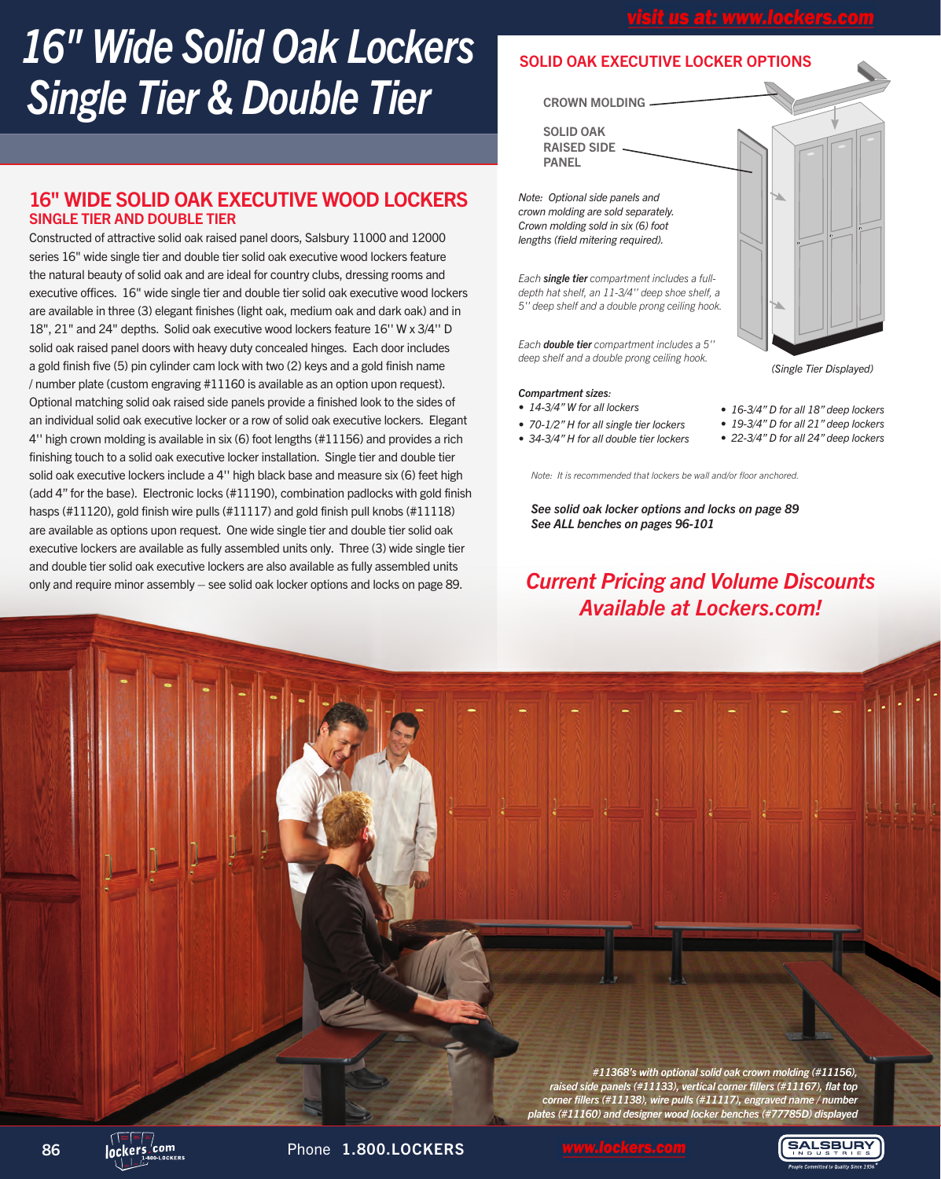# *16" Wide Solid Oak Lockers Single Tier & Double Tier*

### 16" WIDE SOLID OAK EXECUTIVE WOOD LOCKERS SINGLE TIER AND DOUBLE TIER

Constructed of attractive solid oak raised panel doors, Salsbury 11000 and 12000 series 16" wide single tier and double tier solid oak executive wood lockers feature the natural beauty of solid oak and are ideal for country clubs, dressing rooms and executive offices. 16" wide single tier and double tier solid oak executive wood lockers are available in three (3) elegant finishes (light oak, medium oak and dark oak) and in 18", 21" and 24" depths. Solid oak executive wood lockers feature 16'' W x 3/4'' D solid oak raised panel doors with heavy duty concealed hinges. Each door includes a gold finish five (5) pin cylinder cam lock with two (2) keys and a gold finish name / number plate (custom engraving #11160 is available as an option upon request). Optional matching solid oak raised side panels provide a finished look to the sides of an individual solid oak executive locker or a row of solid oak executive lockers. Elegant 4'' high crown molding is available in six (6) foot lengths (#11156) and provides a rich finishing touch to a solid oak executive locker installation. Single tier and double tier solid oak executive lockers include a 4'' high black base and measure six (6) feet high (add 4" for the base). Electronic locks (#11190), combination padlocks with gold finish hasps (#11120), gold finish wire pulls (#11117) and gold finish pull knobs (#11118) are available as options upon request. One wide single tier and double tier solid oak executive lockers are available as fully assembled units only. Three (3) wide single tier and double tier solid oak executive lockers are also available as fully assembled units only and require minor assembly – see solid oak locker options and locks on page 89.

### SOLID OAK EXECUTIVE LOCKER OPTIONS

CROWN MOLDING

SOLID OAK RAISED SIDE PANEL

*Note: Optional side panels and crown molding are sold separately. Crown molding sold in six (6) foot lengths (field mitering required).*

*Each single tier compartment includes a fulldepth hat shelf, an 11-3/4'' deep shoe shelf, a 5'' deep shelf and a double prong ceiling hook.*

*Each double tier compartment includes a 5'' deep shelf and a double prong ceiling hook.*

### *Compartment sizes:*

- *14-3/4" W for all lockers*
- *70-1/2" H for all single tier lockers*
- *34-3/4" H for all double tier lockers • 19-3/4" D for all 21" deep lockers • 22-3/4" D for all 24" deep lockers*

*• 16-3/4" D for all 18" deep lockers*

*(Single Tier Displayed)*

*Note: It is recommended that lockers be wall and/or floor anchored.*

*See solid oak locker options and locks on page 89 See ALL benches on pages 96-101*

## *Current Pricing and Volume Discounts Available at Lockers.com!*

*#11368's with optional solid oak crown molding (#11156), raised side panels (#11133), vertical corner fillers (#11167), flat top corner fillers (#11138), wire pulls (#11117), engraved name / number plates (#11160) and designer wood locker benches (#77785D) displayed*

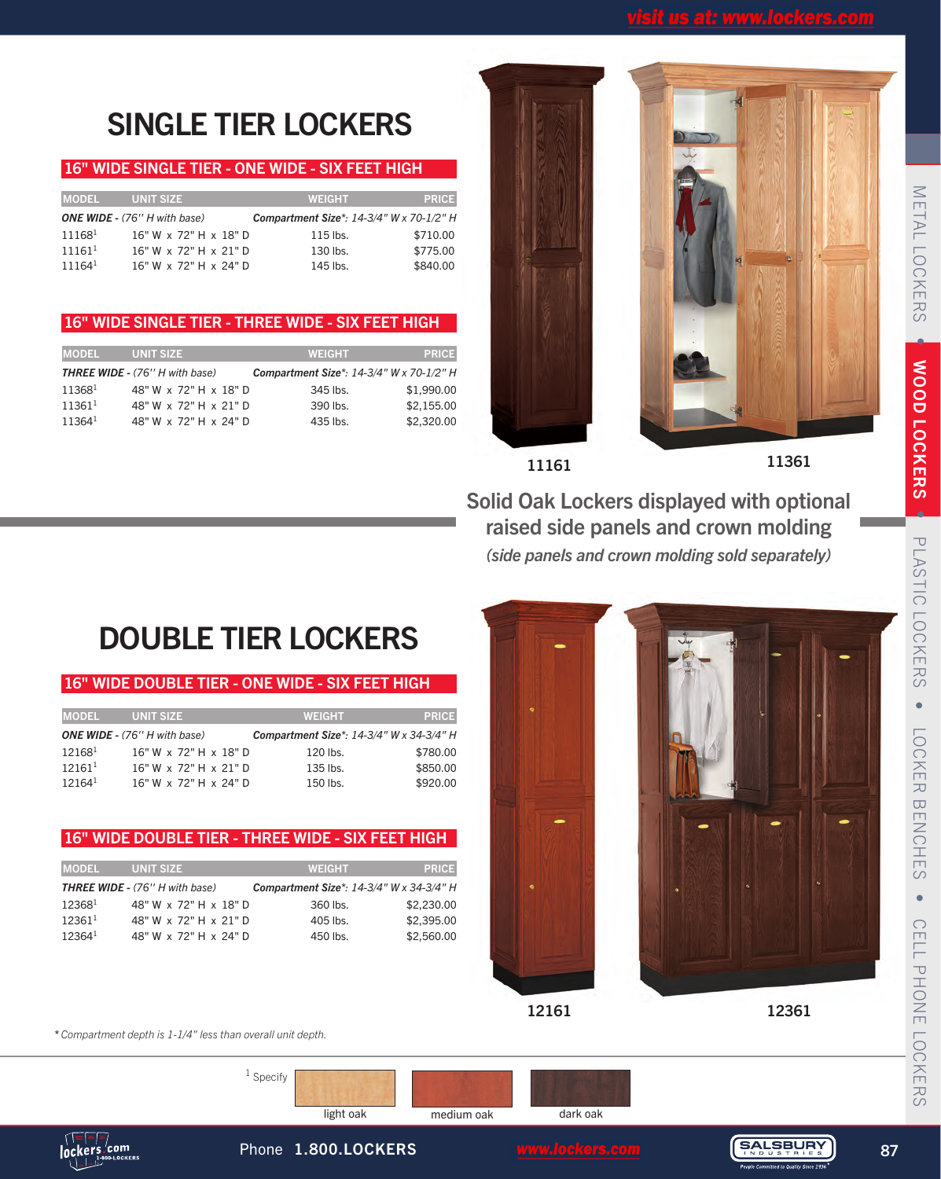# SINGLE TIER LOCKERS

### 16" WIDE SINGLE TIER - ONE WIDE - SIX FEET HIGH

| <b>MODEL</b>       | <b>UNIT SIZE</b>                    | <b>WEIGHT</b>                            | <b>PRICE</b> |
|--------------------|-------------------------------------|------------------------------------------|--------------|
|                    | <b>ONE WIDE - (76" H with base)</b> | Compartment Size*: 14-3/4" W x 70-1/2" H |              |
| $11168^1$          | 16" W x 72" H x 18" D               | 115 lbs.                                 | \$710.00     |
| $11161^1$          | 16" W x 72" H x 21" D               | 130 lbs.                                 | \$775.00     |
| 11164 <sup>1</sup> | 16" W x 72" H x 24" D               | 145 lbs.                                 | \$840.00     |

### 16" WIDE SINGLE TIER - THREE WIDE - SIX FEET HIGH

| <b>IMODEL</b> | <b>UNIT SIZE</b>                      | <b>WEIGHT</b> | <b>PRICE</b>                             |
|---------------|---------------------------------------|---------------|------------------------------------------|
|               | <b>THREE WIDE - (76" H with base)</b> |               | Compartment Size*: 14-3/4" W x 70-1/2" H |
| $11368^1$     | 48" W x 72" H x 18" D                 | 345 lbs.      | \$1,990.00                               |
| $11361^1$     | 48" W x 72" H x 21" D                 | 390 lbs.      | \$2,155,00                               |
| $11364^1$     | 48" W x 72" H x 24" D                 | 435 lbs.      | \$2,320.00                               |





Solid Oak Lockers displayed with optional raised side panels and crown molding *(side panels and crown molding sold separately)*

# DOUBLE TIER LOCKERS

### 16" WIDE DOUBLE TIER - ONE WIDE - SIX FEET HIGH

| <b>MODEL</b> | <b>UNIT SIZE</b>                    | <b>WEIGHT</b> | <b>PRICE</b>                             |
|--------------|-------------------------------------|---------------|------------------------------------------|
|              | <b>ONE WIDE - (76" H with base)</b> |               | Compartment Size*: 14-3/4" W x 34-3/4" H |
| $12168^1$    | 16" W x 72" H x 18" D               | 120 lbs.      | \$780.00                                 |
| $12161^1$    | 16" W x 72" H x 21" D               | 135 lbs.      | \$850.00                                 |
| $12164^1$    | 16" W x 72" H x 24" D               | 150 lbs.      | \$920.00                                 |

### 16" WIDE DOUBLE TIER - THREE WIDE - SIX FEET HIGH

| <b>MODEL</b> | <b>UNIT SIZE</b>                      | <b>WEIGHT</b>                            | <b>PRICE</b> |
|--------------|---------------------------------------|------------------------------------------|--------------|
|              | <b>THREE WIDE - (76" H with base)</b> | Compartment Size*: 14-3/4" W x 34-3/4" H |              |
| 123681       | 48" W x 72" H x 18" D                 | 360 lbs.                                 | \$2,230.00   |
| $12361^1$    | 48" W x 72" H x 21" D                 | 405 lbs.                                 | \$2,395.00   |
| $12364^1$    | 48" W x 72" H x 24" D                 | 450 lbs.                                 | \$2,560.00   |



12161

12361

*\* Compartment depth is 1-1/4" less than overall unit depth.*

<sup>1</sup> Specify

light oak medium oak dark oak



Phone 1.800.LOCKERS www.lockers.com (SALSBURY) 87